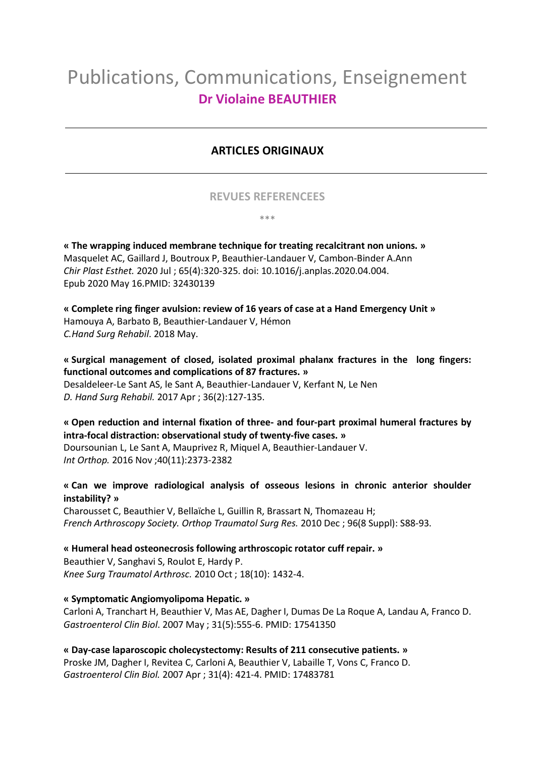# Publications, Communications, Enseignement **Dr Violaine BEAUTHIER**

# **ARTICLES ORIGINAUX**

## **REVUES REFERENCEES**

\*\*\*

**« The wrapping induced membrane technique for treating recalcitrant non unions. »** Masquelet AC, Gaillard J, Boutroux P, Beauthier-Landauer V, Cambon-Binder A.Ann *Chir Plast Esthet.* 2020 Jul ; 65(4):320-325. doi: 10.1016/j.anplas.2020.04.004. Epub 2020 May 16.PMID: 32430139

**« Complete ring finger avulsion: review of 16 years of case at a Hand Emergency Unit »** Hamouya A, Barbato B, Beauthier-Landauer V, Hémon *C.Hand Surg Rehabil*. 2018 May.

**« Surgical management of closed, isolated proximal phalanx fractures in the long fingers: functional outcomes and complications of 87 fractures. »**

Desaldeleer-Le Sant AS, le Sant A, Beauthier-Landauer V, Kerfant N, Le Nen *D. Hand Surg Rehabil.* 2017 Apr ; 36(2):127-135.

## **« Open reduction and internal fixation of three- and four-part proximal humeral fractures by intra-focal distraction: observational study of twenty-five cases. »**

Doursounian L, Le Sant A, Mauprivez R, Miquel A, Beauthier-Landauer V. *Int Orthop.* 2016 Nov ;40(11):2373-2382

**« Can we improve radiological analysis of osseous lesions in chronic anterior shoulder instability? »**

Charousset C, Beauthier V, Bellaïche L, Guillin R, Brassart N, Thomazeau H; *French Arthroscopy Society. Orthop Traumatol Surg Res.* 2010 Dec ; 96(8 Suppl): S88-93.

**« Humeral head osteonecrosis following arthroscopic rotator cuff repair. »** Beauthier V, Sanghavi S, Roulot E, Hardy P. *Knee Surg Traumatol Arthrosc.* 2010 Oct ; 18(10): 1432-4.

## **« Symptomatic Angiomyolipoma Hepatic. »**

Carloni A, Tranchart H, Beauthier V, Mas AE, Dagher I, Dumas De La Roque A, Landau A, Franco D. *Gastroenterol Clin Biol*. 2007 May ; 31(5):555-6. PMID: 17541350

**« Day-case laparoscopic cholecystectomy: Results of 211 consecutive patients. »** Proske JM, Dagher I, Revitea C, Carloni A, Beauthier V, Labaille T, Vons C, Franco D. *Gastroenterol Clin Biol.* 2007 Apr ; 31(4): 421-4. PMID: 17483781